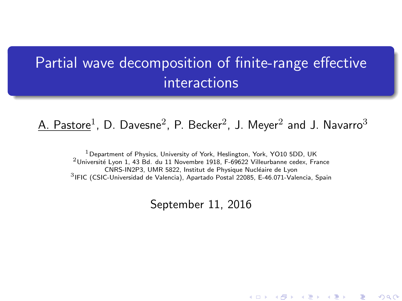# <span id="page-0-0"></span>Partial wave decomposition of finite-range effective interactions

### $\textrm{A.}$   $\textrm{Pastore}^1$ ,  $\textrm{D.}$   $\textrm{Davesne}^2$ ,  $\textrm{P.}$   $\textrm{Becker}^2$ , J.  $\textrm{Meyer}^2$  and J.  $\textrm{Navarro}^3$

Department of Physics, University of York, Heslington, York, YO10 5DD, UK Université Lyon 1, 43 Bd. du 11 Novembre 1918, F-69622 Villeurbanne cedex, France CNRS-IN2P3, UMR 5822, Institut de Physique Nucléaire de Lyon IFIC (CSIC-Universidad de Valencia), Apartado Postal 22085, E-46.071-Valencia, Spain

September 11, 2016

(ロ) (個) (星) (星)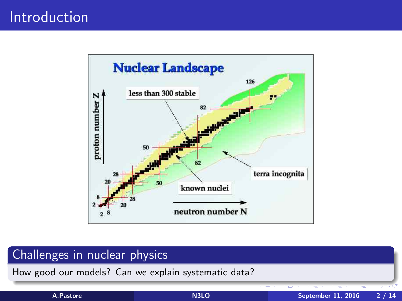# Introduction



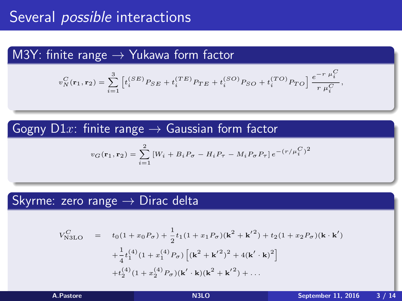### M3Y: finite range  $\rightarrow$  Yukawa form factor

$$
v_N^C(\mathbf{r}_1,\mathbf{r}_2) = \sum_{i=1}^3 \left[ t_i^{(SE)} P_{SE} + t_i^{(TE)} P_{TE} + t_i^{(SO)} P_{SO} + t_i^{(TO)} P_{TO} \right] \frac{e^{-r \ \mu_i^C}}{r \ \mu_i^C},
$$

Gogny  $D1x$ : finite range  $\rightarrow$  Gaussian form factor

$$
v_G(\mathbf{r}_1, \mathbf{r}_2) = \sum_{i=1}^{2} \left[ W_i + B_i P_{\sigma} - H_i P_{\tau} - M_i P_{\sigma} P_{\tau} \right] e^{-(r/\mu_i^C)^2}
$$

#### Skyrme: zero range  $\rightarrow$  Dirac delta

$$
V_{\text{N3LO}}^{C} = t_{0}(1+x_{0}P_{\sigma}) + \frac{1}{2}t_{1}(1+x_{1}P_{\sigma})(\mathbf{k}^{2} + \mathbf{k}'^{2}) + t_{2}(1+x_{2}P_{\sigma})(\mathbf{k} \cdot \mathbf{k}') + \frac{1}{4}t_{1}^{(4)}(1+x_{1}^{(4)}P_{\sigma})\left[(\mathbf{k}^{2} + \mathbf{k}'^{2})^{2} + 4(\mathbf{k}' \cdot \mathbf{k})^{2}\right] + t_{2}^{(4)}(1+x_{2}^{(4)}P_{\sigma})(\mathbf{k}' \cdot \mathbf{k})(\mathbf{k}^{2} + \mathbf{k}'^{2}) + \dots
$$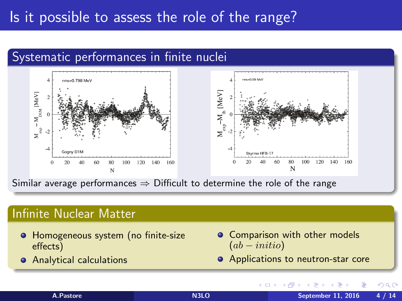# Is it possible to assess the role of the range?

# Systematic performances in finite nuclei



Similar average performances  $\Rightarrow$  Difficult to determine the role of the range

#### Infinite Nuclear Matter

- **Homogeneous system (no finite-size** effects)
- **•** Analytical calculations

Comparison with other models  $\bullet$  $(ab - initio)$ 

(□ ) (f)

**•** Applications to neutron-star core

| A.Pastore |  |  |
|-----------|--|--|
|           |  |  |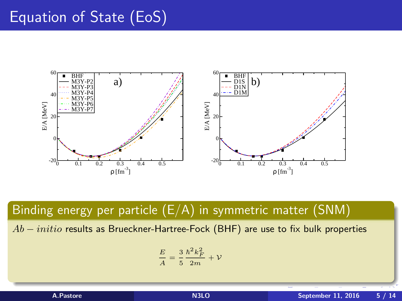# Equation of State (EoS)



Binding energy per particle (E/A) in symmetric matter (SNM)

 $Ab - initio$  results as Brueckner-Hartree-Fock (BHF) are use to fix bulk properties

$$
\frac{E}{A} = \frac{3}{5} \frac{\hbar^2 k_F^2}{2m} + \mathcal{V}
$$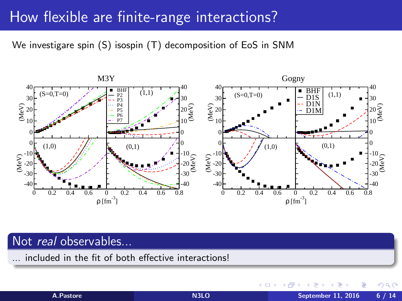# How flexible are finite-range interactions?

We investigare spin (S) isospin (T) decomposition of EoS in SNM



### Not real observables...

... included in the fit of both effective interactions!

 $\leftarrow$ 

 $\Omega$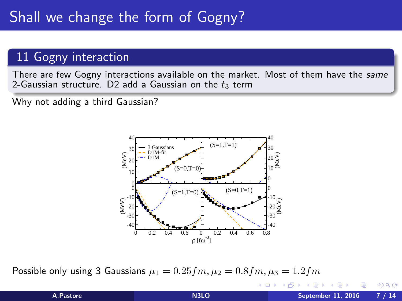# Shall we change the form of Gogny?

### 11 Gogny interaction

There are few Gogny interactions available on the market. Most of them have the same 2-Gaussian structure. D2 add a Gaussian on the  $t_3$  term

Why not adding a third Gaussian?



Possible only using 3 Gaussians  $\mu_1 = 0.25$   $fm$ ,  $\mu_2 = 0.8$   $fm$ ,  $\mu_3 = 1.2$   $fm$ 

 $-1 - 1$ 

 $200$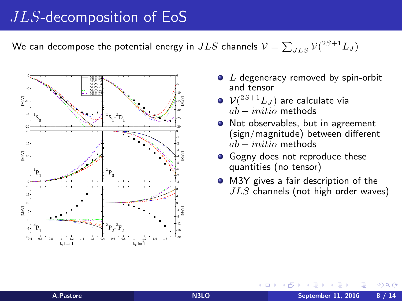## JLS-decomposition of EoS

We can decompose the potential energy in  $JLS$  channels  $\mathcal{V} = \sum_{JLS} \mathcal{V}^{(2S+1)}_{} L_J)$ 



- $\bullet$  L degeneracy removed by spin-orbit and tensor
- $\mathcal{V}(^{2S+1}L_J)$  are calculate via  $ab = initio$  methods
- Not observables, but in agreement (sign/magnitude) between different  $ab = initio$  methods
- Gogny does not reproduce these quantities (no tensor)
- M3Y gives a fair description of the  $JLS$  channels (not high order waves)

 $\Omega$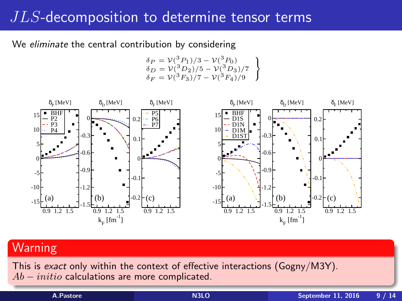# JLS-decomposition to determine tensor terms

We *eliminate* the central contribution by considering

$$
\delta_P = \mathcal{V}({}^3P_1)/3 - \mathcal{V}({}^3P_0)
$$
  
\n
$$
\delta_D = \mathcal{V}({}^3D_2)/5 - \mathcal{V}({}^3D_3)/7
$$
  
\n
$$
\delta_F = \mathcal{V}({}^3F_3)/7 - \mathcal{V}({}^3F_4)/9
$$



### Warning

This is exact only within the context of effective interactions (Gogny/M3Y).  $Ab - initio$  calculations are more complicated.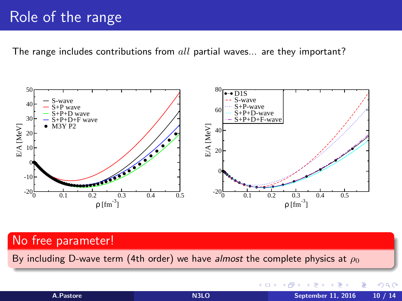# Role of the range

The range includes contributions from  $all$  partial waves... are they important?



#### No free parameter!

By including D-wave term (4th order) we have almost the complete physics at  $\rho_0$ 

4日 8  $\leftarrow$ 

A.Pastore [N3LO](#page-0-0) September 11, 2016 10 / 14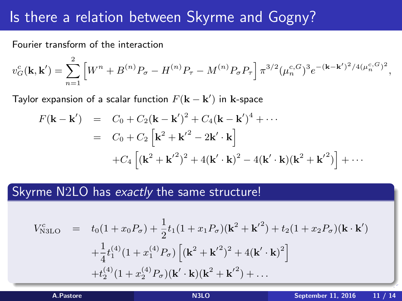# Is there a relation between Skyrme and Gogny?

Fourier transform of the interaction

$$
v_G^c(\mathbf{k}, \mathbf{k}') = \sum_{n=1}^2 \left[ W^n + B^{(n)} P_\sigma - H^{(n)} P_\tau - M^{(n)} P_\sigma P_\tau \right] \pi^{3/2} (\mu_n^{c, G})^3 e^{-(\mathbf{k} - \mathbf{k}')^2 / 4(\mu_n^{c, G})^2},
$$

Taylor expansion of a scalar function  $F({\bf k}-{\bf k}^\prime)$  in  ${\bf k}$ -space

$$
F(\mathbf{k} - \mathbf{k}') = C_0 + C_2(\mathbf{k} - \mathbf{k}')^2 + C_4(\mathbf{k} - \mathbf{k}')^4 + \cdots
$$
  
= C\_0 + C\_2 [ $\mathbf{k}^2 + \mathbf{k}'^2 - 2\mathbf{k}' \cdot \mathbf{k}$ ]  
+ C\_4 [( $\mathbf{k}^2 + \mathbf{k}'^2$ )<sup>2</sup> + 4( $\mathbf{k}' \cdot \mathbf{k}$ )<sup>2</sup> – 4( $\mathbf{k}' \cdot \mathbf{k}$ )( $\mathbf{k}^2 + \mathbf{k}'^2$ )] + ...

#### Skyrme N2LO has exactly the same structure!

$$
V_{\text{NSLO}}^{c} = t_{0}(1+x_{0}P_{\sigma}) + \frac{1}{2}t_{1}(1+x_{1}P_{\sigma})(\mathbf{k}^{2} + \mathbf{k}'^{2}) + t_{2}(1+x_{2}P_{\sigma})(\mathbf{k} \cdot \mathbf{k}') + \frac{1}{4}t_{1}^{(4)}(1+x_{1}^{(4)}P_{\sigma})\left[ (\mathbf{k}^{2} + \mathbf{k}'^{2})^{2} + 4(\mathbf{k}' \cdot \mathbf{k})^{2} \right] + t_{2}^{(4)}(1+x_{2}^{(4)}P_{\sigma})(\mathbf{k}' \cdot \mathbf{k})(\mathbf{k}^{2} + \mathbf{k}'^{2}) + \dots
$$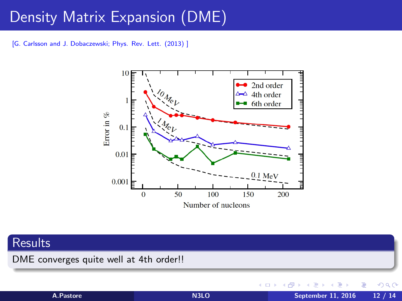# <span id="page-11-0"></span>Density Matrix Expansion (DME)

[G. Carlsson and J. Dobaczewski; Phys. Rev. Lett. (2013) ]



### **Results**

DME converges quite well at 4th order!!

 $\leftarrow$ 

A.Pastore [N3LO](#page-0-0) September 11, 2016 12 / 14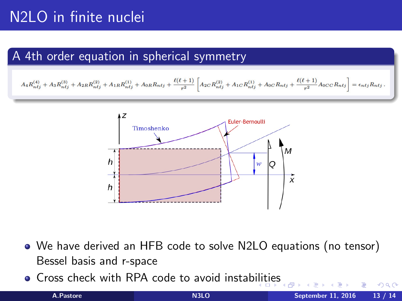# N2LO in finite nuclei

### A 4th order equation in spherical symmetry

$$
A_4 R_{n\ell j}^{(4)}+A_3 R_{n\ell j}^{(3)}+A_{2R} R_{n\ell j}^{(2)}+A_{1R} R_{n\ell j}^{(1)}+A_{0R} R_{n\ell j}+\frac{\ell(\ell+1)}{r^2}\left[A_{2C} R_{n\ell j}^{(2)}+A_{1C} R_{n\ell j}^{(1)}+A_{0C} R_{n\ell j}+\frac{\ell(\ell+1)}{r^2}A_{0CC} R_{n\ell j}\right]=\epsilon_{n\ell j}R_{n\ell j}.
$$



- We have derived an HFB code to solve N2LO equations (no tensor) Bessel basis and r-space
- **•** Cross check with RPA code to avoid instab[ilit](#page-11-0)i[es](#page-13-0)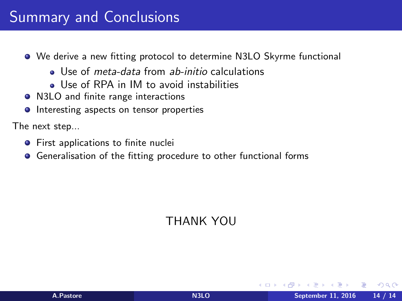- <span id="page-13-0"></span>We derive a new fitting protocol to determine N3LO Skyrme functional
	- Use of *meta-data* from ab-initio calculations
	- **a** Use of RPA in IM to avoid instabilities
- N3LO and finite range interactions
- **•** Interesting aspects on tensor properties

The next step...

- **•** First applications to finite nuclei
- **•** Generalisation of the fitting procedure to other functional forms

### THANK YOU

 $200$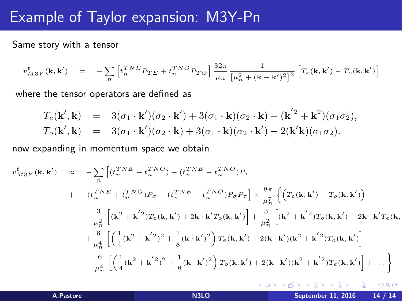## Example of Taylor expansion: M3Y-Pn

Same story with a tensor

$$
v_{M3Y}^t(\mathbf{k},\mathbf{k'}) \quad = \quad -\sum_n \left[ t_n^{TNE} P_{TE} + t_n^{TNO} P_{TO} \right] \frac{32\pi}{\mu_n} \frac{1}{\left[ \mu_n^2 + (\mathbf{k} - \mathbf{k'})^2 \right]^3} \left[ T_e(\mathbf{k},\mathbf{k'}) - T_o(\mathbf{k},\mathbf{k'}) \right]
$$

where the tensor operators are defined as

$$
T_e(\mathbf{k}',\mathbf{k}) = 3(\sigma_1 \cdot \mathbf{k}')(\sigma_2 \cdot \mathbf{k}') + 3(\sigma_1 \cdot \mathbf{k})(\sigma_2 \cdot \mathbf{k}) - (\mathbf{k}'^2 + \mathbf{k}^2)(\sigma_1 \sigma_2),
$$
  
\n
$$
T_o(\mathbf{k}',\mathbf{k}) = 3(\sigma_1 \cdot \mathbf{k}')(\sigma_2 \cdot \mathbf{k}) + 3(\sigma_1 \cdot \mathbf{k})(\sigma_2 \cdot \mathbf{k}') - 2(\mathbf{k}'\mathbf{k})(\sigma_1 \sigma_2).
$$

now expanding in momentum space we obtain

$$
v_{M3Y}^{t}(\mathbf{k}, \mathbf{k'}) \approx -\sum_{n} \left[ (t_{n}^{TNE} + t_{n}^{TNO}) - (t_{n}^{TNE} - t_{n}^{TNO})P_{\tau} + (t_{n}^{TNE} + t_{n}^{TNO})P_{\sigma} - (t_{n}^{TNE} - t_{n}^{TNO})P_{\sigma}P_{\tau} \right] \times \frac{8\pi}{\mu_{n}^{7}} \left\{ \left( T_{e}(\mathbf{k}, \mathbf{k'}) - T_{o}(\mathbf{k}, \mathbf{k'}) \right) - \frac{3}{\mu_{n}^{2}} \left[ (\mathbf{k^{2} + \mathbf{k^{'2}}})T_{e}(\mathbf{k}, \mathbf{k'}) + 2\mathbf{k} \cdot \mathbf{k'}T_{o}(\mathbf{k}, \mathbf{k'}) \right] + \frac{3}{\mu_{n}^{2}} \left[ (\mathbf{k^{2} + \mathbf{k^{'2}}})T_{o}(\mathbf{k}, \mathbf{k'}) + 2\mathbf{k} \cdot \mathbf{k'}T_{e}(\mathbf{k}, \mathbf{k'}) + \frac{6}{\mu_{n}^{4}} \left[ \left( \frac{1}{4} (\mathbf{k^{2} + \mathbf{k^{'2}}})^{2} + \frac{1}{8} (\mathbf{k} \cdot \mathbf{k'})^{2} \right) T_{e}(\mathbf{k}, \mathbf{k'}) + 2(\mathbf{k} \cdot \mathbf{k'}) (\mathbf{k^{2} + \mathbf{k^{'2}}})T_{o}(\mathbf{k}, \mathbf{k'}) \right] - \frac{6}{\mu_{n}^{4}} \left[ \left( \frac{1}{4} (\mathbf{k^{2} + \mathbf{k^{'2}}})^{2} + \frac{1}{8} (\mathbf{k} \cdot \mathbf{k'})^{2} \right) T_{o}(\mathbf{k}, \mathbf{k'}) + 2(\mathbf{k} \cdot \mathbf{k'}) (\mathbf{k^{2} + \mathbf{k^{'2}}})T_{e}(\mathbf{k}, \mathbf{k'}) \right] + \dots \right\}
$$

4 0 8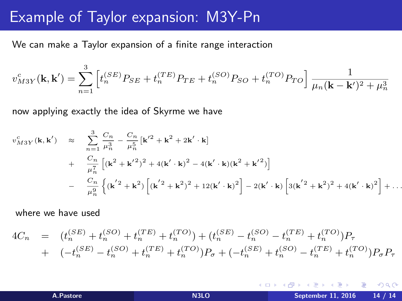## Example of Taylor expansion: M3Y-Pn

We can make a Taylor expansion of a finite range interaction

$$
v_{M3Y}^c(\mathbf{k}, \mathbf{k}') = \sum_{n=1}^3 \left[ t_n^{(SE)} P_{SE} + t_n^{(TE)} P_{TE} + t_n^{(SO)} P_{SO} + t_n^{(TO)} P_{TO} \right] \frac{1}{\mu_n (\mathbf{k} - \mathbf{k}')^2 + \mu_n^3}
$$

now applying exactly the idea of Skyrme we have

$$
v_{M3Y}^{c}(\mathbf{k}, \mathbf{k'}) \approx \sum_{n=1}^{3} \frac{C_n}{\mu_n^3} - \frac{C_n}{\mu_n^5} [\mathbf{k'}^2 + \mathbf{k}^2 + 2\mathbf{k'} \cdot \mathbf{k}] + \frac{C_n}{\mu_n^7} [(\mathbf{k}^2 + \mathbf{k'}^2)^2 + 4(\mathbf{k'} \cdot \mathbf{k})^2 - 4(\mathbf{k'} \cdot \mathbf{k})(\mathbf{k}^2 + \mathbf{k'}^2)] - \frac{C_n}{\mu_n^9} \left\{ (\mathbf{k'}^2 + \mathbf{k}^2) \left[ (\mathbf{k'}^2 + \mathbf{k}^2)^2 + 12(\mathbf{k'} \cdot \mathbf{k})^2 \right] - 2(\mathbf{k'} \cdot \mathbf{k}) \left[ 3(\mathbf{k'}^2 + \mathbf{k}^2)^2 + 4(\mathbf{k'} \cdot \mathbf{k})^2 \right] + \dots
$$

where we have used

$$
4C_n = (t_n^{(SE)} + t_n^{(SO)} + t_n^{(TE)} + t_n^{(TO)}) + (t_n^{(SE)} - t_n^{(SO)} - t_n^{(TE)} + t_n^{(TO)})P_\tau + (-t_n^{(SE)} - t_n^{(SO)} + t_n^{(TE)} + t_n^{(TO)})P_\sigma + (-t_n^{(SE)} + t_n^{(SO)} - t_n^{(TE)} + t_n^{(TO)})P_\sigma P_\tau
$$

4 0 3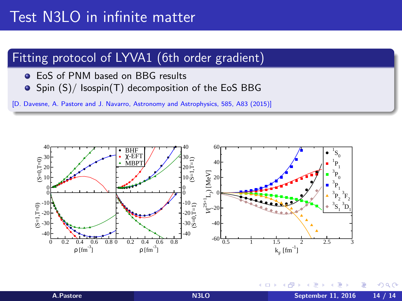# Test N3LO in infinite matter

### Fitting protocol of LYVA1 (6th order gradient)

- EoS of PNM based on BBG results
- $\bullet$  Spin (S)/ Isospin(T) decomposition of the EoS BBG

[D. Davesne, A. Pastore and J. Navarro, Astronomy and Astrophysics, 585, A83 (2015)]



€⊡